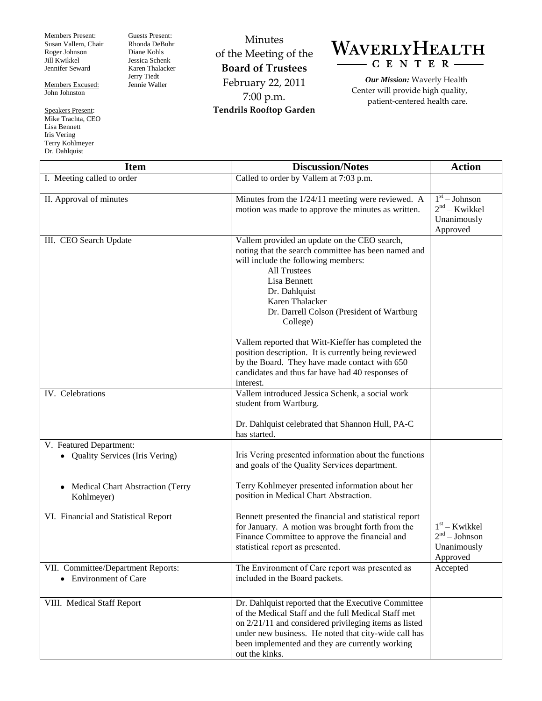Members Present: Susan Vallem, Chair Roger Johnson Jill Kwikkel Jennifer Seward

Guests Present: Rhonda DeBuhr Diane Kohls Jessica Schenk Karen Thalacker Jerry Tiedt Jennie Waller

Members Excused: John Johnston

Speakers Present: Mike Trachta, CEO Lisa Bennett Iris Vering Terry Kohlmeyer Dr. Dahlquist

Minutes of the Meeting of the **Board of Trustees** February 22, 2011 7:00 p.m. **Tendrils Rooftop Garden**



*Our Mission:* Waverly Health Center will provide high quality, patient-centered health care.

| <b>Item</b>                                                      | <b>Discussion/Notes</b>                                                                                                                                                                                                                                                                            | <b>Action</b>                                                 |
|------------------------------------------------------------------|----------------------------------------------------------------------------------------------------------------------------------------------------------------------------------------------------------------------------------------------------------------------------------------------------|---------------------------------------------------------------|
| I. Meeting called to order                                       | Called to order by Vallem at 7:03 p.m.                                                                                                                                                                                                                                                             |                                                               |
| II. Approval of minutes                                          | Minutes from the 1/24/11 meeting were reviewed. A<br>motion was made to approve the minutes as written.                                                                                                                                                                                            | $1st - Johnson$<br>$2nd - Kwikkel$<br>Unanimously<br>Approved |
| III. CEO Search Update                                           | Vallem provided an update on the CEO search,<br>noting that the search committee has been named and<br>will include the following members:<br><b>All Trustees</b><br>Lisa Bennett<br>Dr. Dahlquist<br>Karen Thalacker<br>Dr. Darrell Colson (President of Wartburg<br>College)                     |                                                               |
|                                                                  | Vallem reported that Witt-Kieffer has completed the<br>position description. It is currently being reviewed<br>by the Board. They have made contact with 650<br>candidates and thus far have had 40 responses of<br>interest.                                                                      |                                                               |
| IV. Celebrations                                                 | Vallem introduced Jessica Schenk, a social work<br>student from Wartburg.<br>Dr. Dahlquist celebrated that Shannon Hull, PA-C<br>has started.                                                                                                                                                      |                                                               |
| V. Featured Department:<br><b>Quality Services (Iris Vering)</b> | Iris Vering presented information about the functions<br>and goals of the Quality Services department.                                                                                                                                                                                             |                                                               |
| Medical Chart Abstraction (Terry<br>$\bullet$<br>Kohlmeyer)      | Terry Kohlmeyer presented information about her<br>position in Medical Chart Abstraction.                                                                                                                                                                                                          |                                                               |
| VI. Financial and Statistical Report                             | Bennett presented the financial and statistical report<br>for January. A motion was brought forth from the<br>Finance Committee to approve the financial and<br>statistical report as presented.                                                                                                   | $1st$ – Kwikkel<br>$2nd - Johnson$<br>Unanimously<br>Approved |
| VII. Committee/Department Reports:<br>• Environment of Care      | The Environment of Care report was presented as<br>included in the Board packets.                                                                                                                                                                                                                  | Accepted                                                      |
| VIII. Medical Staff Report                                       | Dr. Dahlquist reported that the Executive Committee<br>of the Medical Staff and the full Medical Staff met<br>on $2/21/11$ and considered privileging items as listed<br>under new business. He noted that city-wide call has<br>been implemented and they are currently working<br>out the kinks. |                                                               |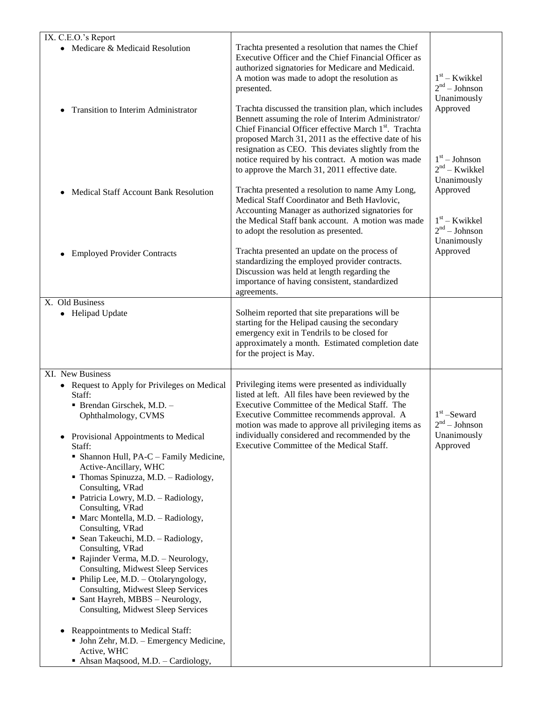| IX. C.E.O.'s Report                                                                                                             |                                                                                                                                                                                                                                                                                                                                                        |                                                   |
|---------------------------------------------------------------------------------------------------------------------------------|--------------------------------------------------------------------------------------------------------------------------------------------------------------------------------------------------------------------------------------------------------------------------------------------------------------------------------------------------------|---------------------------------------------------|
| • Medicare & Medicaid Resolution                                                                                                | Trachta presented a resolution that names the Chief<br>Executive Officer and the Chief Financial Officer as<br>authorized signatories for Medicare and Medicaid.<br>A motion was made to adopt the resolution as<br>presented.                                                                                                                         | $1st - Kwikkel$<br>$2nd - Johnson$<br>Unanimously |
| <b>Transition to Interim Administrator</b>                                                                                      | Trachta discussed the transition plan, which includes<br>Bennett assuming the role of Interim Administrator/<br>Chief Financial Officer effective March 1 <sup>st</sup> . Trachta<br>proposed March 31, 2011 as the effective date of his<br>resignation as CEO. This deviates slightly from the<br>notice required by his contract. A motion was made | Approved<br>$1st - Johnson$                       |
| Medical Staff Account Bank Resolution                                                                                           | to approve the March 31, 2011 effective date.<br>Trachta presented a resolution to name Amy Long,                                                                                                                                                                                                                                                      | $2nd - Kwikkel$<br>Unanimously<br>Approved        |
|                                                                                                                                 | Medical Staff Coordinator and Beth Havlovic,<br>Accounting Manager as authorized signatories for<br>the Medical Staff bank account. A motion was made<br>to adopt the resolution as presented.                                                                                                                                                         | $1st$ – Kwikkel<br>$2nd - Johnson$                |
| <b>Employed Provider Contracts</b>                                                                                              | Trachta presented an update on the process of<br>standardizing the employed provider contracts.<br>Discussion was held at length regarding the<br>importance of having consistent, standardized<br>agreements.                                                                                                                                         | Unanimously<br>Approved                           |
| X. Old Business<br><b>Helipad Update</b><br>$\bullet$                                                                           | Solheim reported that site preparations will be<br>starting for the Helipad causing the secondary<br>emergency exit in Tendrils to be closed for<br>approximately a month. Estimated completion date<br>for the project is May.                                                                                                                        |                                                   |
| XI. New Business                                                                                                                |                                                                                                                                                                                                                                                                                                                                                        |                                                   |
| • Request to Apply for Privileges on Medical<br>Staff:<br>· Brendan Girschek, M.D. -<br>Ophthalmology, CVMS                     | Privileging items were presented as individually<br>listed at left. All files have been reviewed by the<br>Executive Committee of the Medical Staff. The<br>Executive Committee recommends approval. A<br>motion was made to approve all privileging items as                                                                                          | $1st$ -Seward<br>2 <sup>nd</sup> – Johnson        |
| Provisional Appointments to Medical<br>٠<br>Staff:<br>• Shannon Hull, PA-C - Family Medicine,<br>Active-Ancillary, WHC          | individually considered and recommended by the<br>Executive Committee of the Medical Staff.                                                                                                                                                                                                                                                            | Unanimously<br>Approved                           |
| • Thomas Spinuzza, M.D. - Radiology,<br>Consulting, VRad<br>• Patricia Lowry, M.D. - Radiology,<br>Consulting, VRad             |                                                                                                                                                                                                                                                                                                                                                        |                                                   |
| • Marc Montella, M.D. - Radiology,<br>Consulting, VRad<br>• Sean Takeuchi, M.D. - Radiology,<br>Consulting, VRad                |                                                                                                                                                                                                                                                                                                                                                        |                                                   |
| • Rajinder Verma, M.D. - Neurology,<br><b>Consulting, Midwest Sleep Services</b><br>• Philip Lee, M.D. - Otolaryngology,        |                                                                                                                                                                                                                                                                                                                                                        |                                                   |
| Consulting, Midwest Sleep Services<br>• Sant Hayreh, MBBS - Neurology,<br>Consulting, Midwest Sleep Services                    |                                                                                                                                                                                                                                                                                                                                                        |                                                   |
| Reappointments to Medical Staff:<br>• John Zehr, M.D. - Emergency Medicine,<br>Active, WHC<br>Ahsan Maqsood, M.D. - Cardiology, |                                                                                                                                                                                                                                                                                                                                                        |                                                   |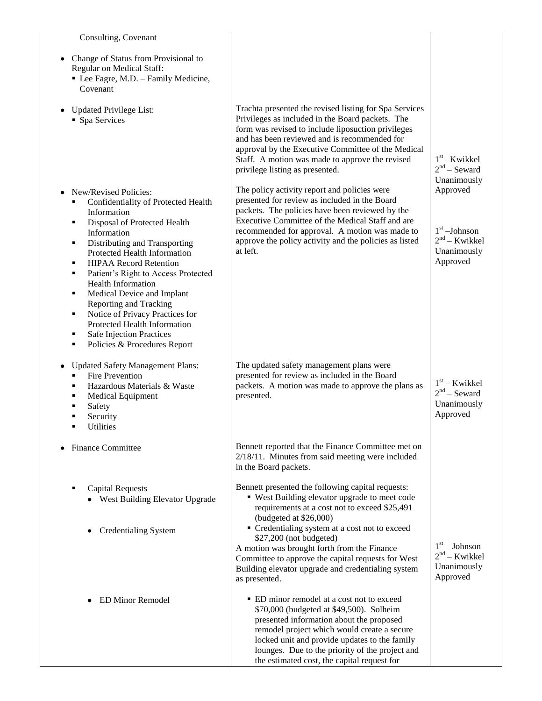| Consulting, Covenant                                                                                                                                                                                                                                                                                                                                                                                                                                                                                                            |                                                                                                                                                                                                                                                                                                                                                                                                                                          |                                                                          |
|---------------------------------------------------------------------------------------------------------------------------------------------------------------------------------------------------------------------------------------------------------------------------------------------------------------------------------------------------------------------------------------------------------------------------------------------------------------------------------------------------------------------------------|------------------------------------------------------------------------------------------------------------------------------------------------------------------------------------------------------------------------------------------------------------------------------------------------------------------------------------------------------------------------------------------------------------------------------------------|--------------------------------------------------------------------------|
| Change of Status from Provisional to<br>Regular on Medical Staff:<br>• Lee Fagre, M.D. - Family Medicine,<br>Covenant                                                                                                                                                                                                                                                                                                                                                                                                           |                                                                                                                                                                                                                                                                                                                                                                                                                                          |                                                                          |
| <b>Updated Privilege List:</b><br>• Spa Services                                                                                                                                                                                                                                                                                                                                                                                                                                                                                | Trachta presented the revised listing for Spa Services<br>Privileges as included in the Board packets. The<br>form was revised to include liposuction privileges<br>and has been reviewed and is recommended for<br>approval by the Executive Committee of the Medical<br>Staff. A motion was made to approve the revised<br>privilege listing as presented.                                                                             | $1st$ -Kwikkel<br>$2nd$ – Seward<br>Unanimously                          |
| New/Revised Policies:<br>Confidentiality of Protected Health<br>Information<br>Disposal of Protected Health<br>٠<br>Information<br>Distributing and Transporting<br>٠<br>Protected Health Information<br><b>HIPAA Record Retention</b><br>٠<br>Patient's Right to Access Protected<br>٠<br><b>Health Information</b><br>Medical Device and Implant<br>٠<br>Reporting and Tracking<br>Notice of Privacy Practices for<br>٠<br>Protected Health Information<br>Safe Injection Practices<br>٠<br>Policies & Procedures Report<br>٠ | The policy activity report and policies were<br>presented for review as included in the Board<br>packets. The policies have been reviewed by the<br>Executive Committee of the Medical Staff and are<br>recommended for approval. A motion was made to<br>approve the policy activity and the policies as listed<br>at left.                                                                                                             | Approved<br>$1st$ -Johnson<br>$2nd - Kwikkel$<br>Unanimously<br>Approved |
| <b>Updated Safety Management Plans:</b><br><b>Fire Prevention</b><br>٠<br>Hazardous Materials & Waste<br>٠<br><b>Medical Equipment</b><br>٠<br>Safety<br>٠<br>Security<br>Utilities<br>٠                                                                                                                                                                                                                                                                                                                                        | The updated safety management plans were<br>presented for review as included in the Board<br>packets. A motion was made to approve the plans as<br>presented.                                                                                                                                                                                                                                                                            | $1st$ – Kwikkel<br>$2nd$ – Seward<br>Unanimously<br>Approved             |
| <b>Finance Committee</b>                                                                                                                                                                                                                                                                                                                                                                                                                                                                                                        | Bennett reported that the Finance Committee met on<br>$2/18/11$ . Minutes from said meeting were included<br>in the Board packets.                                                                                                                                                                                                                                                                                                       |                                                                          |
| <b>Capital Requests</b><br>West Building Elevator Upgrade<br><b>Credentialing System</b>                                                                                                                                                                                                                                                                                                                                                                                                                                        | Bennett presented the following capital requests:<br>• West Building elevator upgrade to meet code<br>requirements at a cost not to exceed \$25,491<br>(budgeted at $$26,000$ )<br>• Credentialing system at a cost not to exceed<br>\$27,200 (not budgeted)<br>A motion was brought forth from the Finance<br>Committee to approve the capital requests for West<br>Building elevator upgrade and credentialing system<br>as presented. | $1st - Johnson$<br>$2nd - Kwikkel$<br>Unanimously<br>Approved            |
| <b>ED Minor Remodel</b>                                                                                                                                                                                                                                                                                                                                                                                                                                                                                                         | • ED minor remodel at a cost not to exceed<br>\$70,000 (budgeted at \$49,500). Solheim<br>presented information about the proposed<br>remodel project which would create a secure<br>locked unit and provide updates to the family<br>lounges. Due to the priority of the project and<br>the estimated cost, the capital request for                                                                                                     |                                                                          |